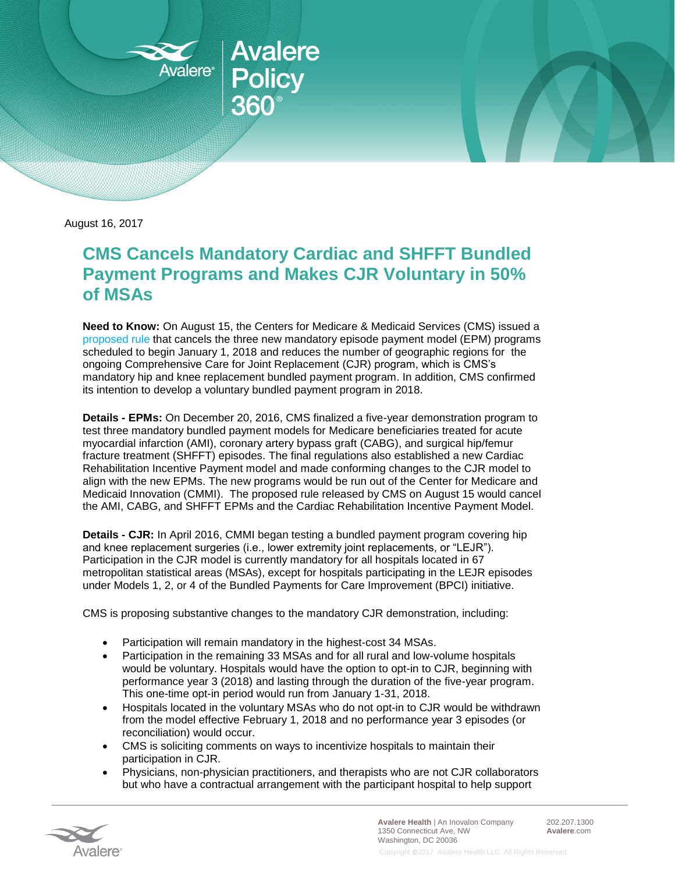

August 16, 2017

## **CMS Cancels Mandatory Cardiac and SHFFT Bundled Payment Programs and Makes CJR Voluntary in 50% of MSAs**

**Need to Know:** On August 15, the Centers for Medicare & Medicaid Services (CMS) issued a [proposed rule](https://www.federalregister.gov/documents/2017/08/17/2017-17446/medicare-program-cancellation-of-advancing-care-coordination-through-episode-payment-and-cardiac) that cancels the three new mandatory episode payment model (EPM) programs scheduled to begin January 1, 2018 and reduces the number of geographic regions for the ongoing Comprehensive Care for Joint Replacement (CJR) program, which is CMS's mandatory hip and knee replacement bundled payment program. In addition, CMS confirmed its intention to develop a voluntary bundled payment program in 2018.

**Details - EPMs:** On December 20, 2016, CMS finalized a five-year demonstration program to test three mandatory bundled payment models for Medicare beneficiaries treated for acute myocardial infarction (AMI), coronary artery bypass graft (CABG), and surgical hip/femur fracture treatment (SHFFT) episodes. The final regulations also established a new Cardiac Rehabilitation Incentive Payment model and made conforming changes to the CJR model to align with the new EPMs. The new programs would be run out of the Center for Medicare and Medicaid Innovation (CMMI). The proposed rule released by CMS on August 15 would cancel the AMI, CABG, and SHFFT EPMs and the Cardiac Rehabilitation Incentive Payment Model.

**Details - CJR:** In April 2016, CMMI began testing a bundled payment program covering hip and knee replacement surgeries (i.e., lower extremity joint replacements, or "LEJR"). Participation in the CJR model is currently mandatory for all hospitals located in 67 metropolitan statistical areas (MSAs), except for hospitals participating in the LEJR episodes under Models 1, 2, or 4 of the Bundled Payments for Care Improvement (BPCI) initiative.

CMS is proposing substantive changes to the mandatory CJR demonstration, including:

- Participation will remain mandatory in the highest-cost 34 MSAs.
- Participation in the remaining 33 MSAs and for all rural and low-volume hospitals would be voluntary. Hospitals would have the option to opt-in to CJR, beginning with performance year 3 (2018) and lasting through the duration of the five-year program. This one-time opt-in period would run from January 1-31, 2018.
- Hospitals located in the voluntary MSAs who do not opt-in to CJR would be withdrawn from the model effective February 1, 2018 and no performance year 3 episodes (or reconciliation) would occur.
- CMS is soliciting comments on ways to incentivize hospitals to maintain their participation in CJR.
- Physicians, non-physician practitioners, and therapists who are not CJR collaborators but who have a contractual arrangement with the participant hospital to help support



**Avalere Health** | An Inovalon Company 1350 Connecticut Ave, NW Washington, DC 20036

202.207.1300 **Avalere**.com